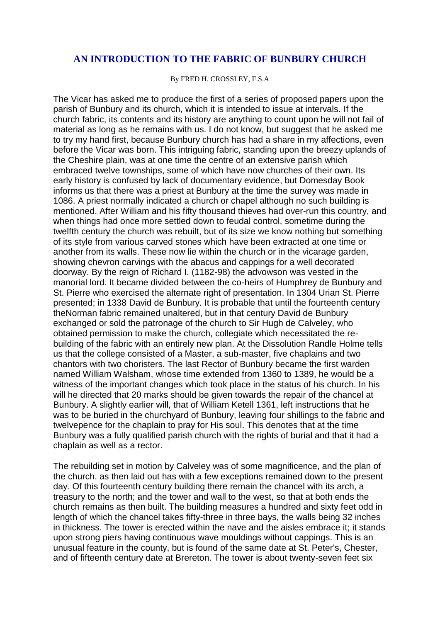## **AN INTRODUCTION TO THE FABRIC OF BUNBURY CHURCH**

By FRED H. CROSSLEY, F.S.A

The Vicar has asked me to produce the first of a series of proposed papers upon the parish of Bunbury and its church, which it is intended to issue at intervals. If the church fabric, its contents and its history are anything to count upon he will not fail of material as long as he remains with us. I do not know, but suggest that he asked me to try my hand first, because Bunbury church has had a share in my affections, even before the Vicar was born. This intriguing fabric, standing upon the breezy uplands of the Cheshire plain, was at one time the centre of an extensive parish which embraced twelve townships, some of which have now churches of their own. Its early history is confused by lack of documentary evidence, but Domesday Book informs us that there was a priest at Bunbury at the time the survey was made in 1086. A priest normally indicated a church or chapel although no such building is mentioned. After William and his fifty thousand thieves had over-run this country, and when things had once more settled down to feudal control, sometime during the twelfth century the church was rebuilt, but of its size we know nothing but something of its style from various carved stones which have been extracted at one time or another from its walls. These now lie within the church or in the vicarage garden, showing chevron carvings with the abacus and cappings for a well decorated doorway. By the reign of Richard I. (1182-98) the advowson was vested in the manorial lord. It became divided between the co-heirs of Humphrey de Bunbury and St. Pierre who exercised the alternate right of presentation. In 1304 Urian St. Pierre presented; in 1338 David de Bunbury. It is probable that until the fourteenth century theNorman fabric remained unaltered, but in that century David de Bunbury exchanged or sold the patronage of the church to Sir Hugh de Calveley, who obtained permission to make the church, collegiate which necessitated the rebuilding of the fabric with an entirely new plan. At the Dissolution Randle Holme tells us that the college consisted of a Master, a sub-master, five chaplains and two chantors with two choristers. The last Rector of Bunbury became the first warden named William Walsham, whose time extended from 1360 to 1389, he would be a witness of the important changes which took place in the status of his church. In his will he directed that 20 marks should be given towards the repair of the chancel at Bunbury. A slightly earlier will, that of William Ketell 1361, left instructions that he was to be buried in the churchyard of Bunbury, leaving four shillings to the fabric and twelvepence for the chaplain to pray for His soul. This denotes that at the time Bunbury was a fully qualified parish church with the rights of burial and that it had a chaplain as well as a rector.

The rebuilding set in motion by Calveley was of some magnificence, and the plan of the church. as then laid out has with a few exceptions remained down to the present day. Of this fourteenth century building there remain the chancel with its arch, a treasury to the north; and the tower and wall to the west, so that at both ends the church remains as then built. The building measures a hundred and sixty feet odd in length of which the chancel takes fifty-three in three bays, the walls being 32 inches in thickness. The tower is erected within the nave and the aisles embrace it; it stands upon strong piers having continuous wave mouldings without cappings. This is an unusual feature in the county, but is found of the same date at St. Peter's, Chester, and of fifteenth century date at Brereton. The tower is about twenty-seven feet six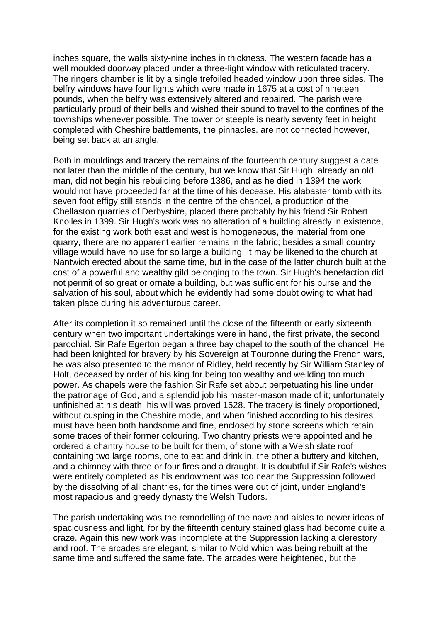inches square, the walls sixty-nine inches in thickness. The western facade has a well moulded doorway placed under a three-light window with reticulated tracery. The ringers chamber is lit by a single trefoiled headed window upon three sides. The belfry windows have four lights which were made in 1675 at a cost of nineteen pounds, when the belfry was extensively altered and repaired. The parish were particularly proud of their bells and wished their sound to travel to the confines of the townships whenever possible. The tower or steeple is nearly seventy feet in height, completed with Cheshire battlements, the pinnacles. are not connected however, being set back at an angle.

Both in mouldings and tracery the remains of the fourteenth century suggest a date not later than the middle of the century, but we know that Sir Hugh, already an old man, did not begin his rebuilding before 1386, and as he died in 1394 the work would not have proceeded far at the time of his decease. His alabaster tomb with its seven foot effigy still stands in the centre of the chancel, a production of the Chellaston quarries of Derbyshire, placed there probably by his friend Sir Robert Knolles in 1399. Sir Hugh's work was no alteration of a building already in existence, for the existing work both east and west is homogeneous, the material from one quarry, there are no apparent earlier remains in the fabric; besides a small country village would have no use for so large a building. It may be likened to the church at Nantwich erected about the same time, but in the case of the latter church built at the cost of a powerful and wealthy gild belonging to the town. Sir Hugh's benefaction did not permit of so great or ornate a building, but was sufficient for his purse and the salvation of his soul, about which he evidently had some doubt owing to what had taken place during his adventurous career.

After its completion it so remained until the close of the fifteenth or early sixteenth century when two important undertakings were in hand, the first private, the second parochial. Sir Rafe Egerton began a three bay chapel to the south of the chancel. He had been knighted for bravery by his Sovereign at Touronne during the French wars, he was also presented to the manor of Ridley, held recently by Sir William Stanley of Holt, deceased by order of his king for being too wealthy and weilding too much power. As chapels were the fashion Sir Rafe set about perpetuating his line under the patronage of God, and a splendid job his master-mason made of it; unfortunately unfinished at his death, his will was proved 1528. The tracery is finely proportioned, without cusping in the Cheshire mode, and when finished according to his desires must have been both handsome and fine, enclosed by stone screens which retain some traces of their former colouring. Two chantry priests were appointed and he ordered a chantry house to be built for them, of stone with a Welsh slate roof containing two large rooms, one to eat and drink in, the other a buttery and kitchen, and a chimney with three or four fires and a draught. It is doubtful if Sir Rafe's wishes were entirely completed as his endowment was too near the Suppression followed by the dissolving of all chantries, for the times were out of joint, under England's most rapacious and greedy dynasty the Welsh Tudors.

The parish undertaking was the remodelling of the nave and aisles to newer ideas of spaciousness and light, for by the fifteenth century stained glass had become quite a craze. Again this new work was incomplete at the Suppression lacking a clerestory and roof. The arcades are elegant, similar to Mold which was being rebuilt at the same time and suffered the same fate. The arcades were heightened, but the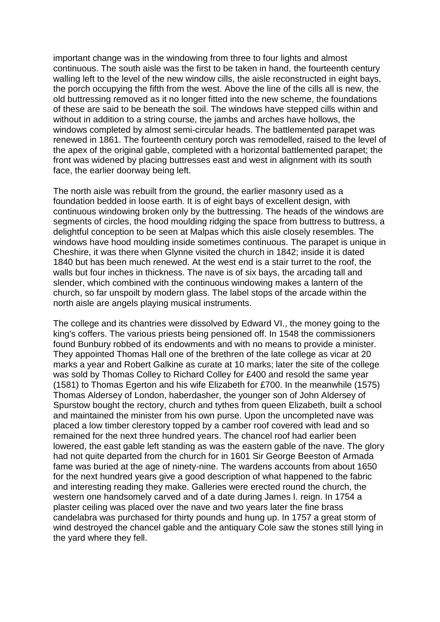important change was in the windowing from three to four lights and almost continuous. The south aisle was the first to be taken in hand, the fourteenth century walling left to the level of the new window cills, the aisle reconstructed in eight bays, the porch occupying the fifth from the west. Above the line of the cills all is new, the old buttressing removed as it no longer fitted into the new scheme, the foundations of these are said to be beneath the soil. The windows have stepped cills within and without in addition to a string course, the jambs and arches have hollows, the windows completed by almost semi-circular heads. The battlemented parapet was renewed in 1861. The fourteenth century porch was remodelled, raised to the level of the apex of the original gable, completed with a horizontal battlemented parapet; the front was widened by placing buttresses east and west in alignment with its south face, the earlier doorway being left.

The north aisle was rebuilt from the ground, the earlier masonry used as a foundation bedded in loose earth. It is of eight bays of excellent design, with continuous windowing broken only by the buttressing. The heads of the windows are segments of circles, the hood moulding ridging the space from buttress to buttress, a delightful conception to be seen at Malpas which this aisle closely resembles. The windows have hood moulding inside sometimes continuous. The parapet is unique in Cheshire, it was there when Glynne visited the church in 1842; inside it is dated 1840 but has been much renewed. At the west end is a stair turret to the roof, the walls but four inches in thickness. The nave is of six bays, the arcading tall and slender, which combined with the continuous windowing makes a lantern of the church, so far unspoilt by modern glass. The label stops of the arcade within the north aisle are angels playing musical instruments.

The college and its chantries were dissolved by Edward VI., the money going to the king's coffers. The various priests being pensioned off. In 1548 the commissioners found Bunbury robbed of its endowments and with no means to provide a minister. They appointed Thomas Hall one of the brethren of the late college as vicar at 20 marks a year and Robert Galkine as curate at 10 marks; later the site of the college was sold by Thomas Colley to Richard Colley for £400 and resold the same year (1581) to Thomas Egerton and his wife Elizabeth for £700. In the meanwhile (1575) Thomas Aldersey of London, haberdasher, the younger son of John Aldersey of Spurstow bought the rectory, church and tythes from queen Elizabeth, built a school and maintained the minister from his own purse. Upon the uncompleted nave was placed a low timber clerestory topped by a camber roof covered with lead and so remained for the next three hundred years. The chancel roof had earlier been lowered, the east gable left standing as was the eastern gable of the nave. The glory had not quite departed from the church for in 1601 Sir George Beeston of Armada fame was buried at the age of ninety-nine. The wardens accounts from about 1650 for the next hundred years give a good description of what happened to the fabric and interesting reading they make. Galleries were erected round the church, the western one handsomely carved and of a date during James I. reign. In 1754 a plaster ceiling was placed over the nave and two years later the fine brass candelabra was purchased for thirty pounds and hung up. In 1757 a great storm of wind destroyed the chancel gable and the antiquary Cole saw the stones still lying in the yard where they fell.